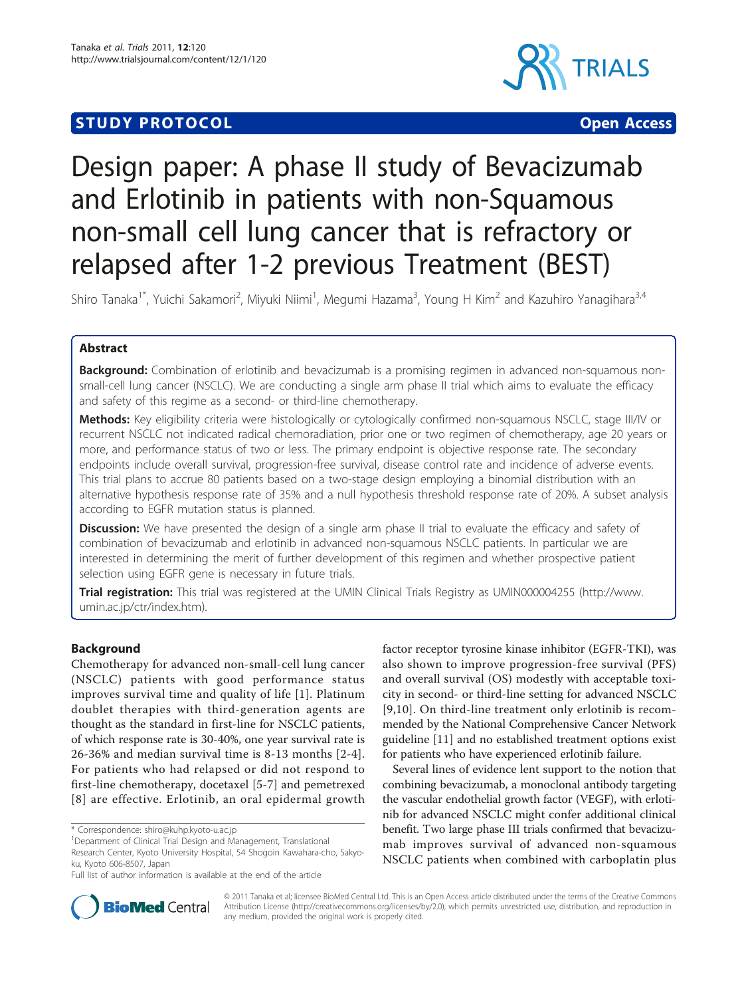# **STUDY PROTOCOL CONSUMING THE CONSUMING OPEN ACCESS**



# Design paper: A phase II study of Bevacizumab and Erlotinib in patients with non-Squamous non-small cell lung cancer that is refractory or relapsed after 1-2 previous Treatment (BEST)

Shiro Tanaka<sup>1\*</sup>, Yuichi Sakamori<sup>2</sup>, Miyuki Niimi<sup>1</sup>, Megumi Hazama<sup>3</sup>, Young H Kim<sup>2</sup> and Kazuhiro Yanagihara<sup>3,4</sup>

# Abstract

**Background:** Combination of erlotinib and bevacizumab is a promising regimen in advanced non-squamous nonsmall-cell lung cancer (NSCLC). We are conducting a single arm phase II trial which aims to evaluate the efficacy and safety of this regime as a second- or third-line chemotherapy.

Methods: Key eligibility criteria were histologically or cytologically confirmed non-squamous NSCLC, stage III/IV or recurrent NSCLC not indicated radical chemoradiation, prior one or two regimen of chemotherapy, age 20 years or more, and performance status of two or less. The primary endpoint is objective response rate. The secondary endpoints include overall survival, progression-free survival, disease control rate and incidence of adverse events. This trial plans to accrue 80 patients based on a two-stage design employing a binomial distribution with an alternative hypothesis response rate of 35% and a null hypothesis threshold response rate of 20%. A subset analysis according to EGFR mutation status is planned.

Discussion: We have presented the design of a single arm phase II trial to evaluate the efficacy and safety of combination of bevacizumab and erlotinib in advanced non-squamous NSCLC patients. In particular we are interested in determining the merit of further development of this regimen and whether prospective patient selection using EGFR gene is necessary in future trials.

Trial registration: This trial was registered at the UMIN Clinical Trials Registry as UMIN000004255 ([http://www.](http://www.umin.ac.jp/ctr/index.htm) [umin.ac.jp/ctr/index.htm\)](http://www.umin.ac.jp/ctr/index.htm).

# Background

Chemotherapy for advanced non-small-cell lung cancer (NSCLC) patients with good performance status improves survival time and quality of life [\[1](#page-3-0)]. Platinum doublet therapies with third-generation agents are thought as the standard in first-line for NSCLC patients, of which response rate is 30-40%, one year survival rate is 26-36% and median survival time is 8-13 months [[2](#page-3-0)-[4](#page-3-0)]. For patients who had relapsed or did not respond to first-line chemotherapy, docetaxel [\[5](#page-3-0)-[7\]](#page-3-0) and pemetrexed [[8\]](#page-3-0) are effective. Erlotinib, an oral epidermal growth

factor receptor tyrosine kinase inhibitor (EGFR-TKI), was also shown to improve progression-free survival (PFS) and overall survival (OS) modestly with acceptable toxicity in second- or third-line setting for advanced NSCLC [[9,10\]](#page-3-0). On third-line treatment only erlotinib is recommended by the National Comprehensive Cancer Network guideline [\[11](#page-3-0)] and no established treatment options exist for patients who have experienced erlotinib failure.

Several lines of evidence lent support to the notion that combining bevacizumab, a monoclonal antibody targeting the vascular endothelial growth factor (VEGF), with erlotinib for advanced NSCLC might confer additional clinical benefit. Two large phase III trials confirmed that bevacizumab improves survival of advanced non-squamous NSCLC patients when combined with carboplatin plus



© 2011 Tanaka et al; licensee BioMed Central Ltd. This is an Open Access article distributed under the terms of the Creative Commons Attribution License [\(http://creativecommons.org/licenses/by/2.0](http://creativecommons.org/licenses/by/2.0)), which permits unrestricted use, distribution, and reproduction in any medium, provided the original work is properly cited.

<sup>\*</sup> Correspondence: [shiro@kuhp.kyoto-u.ac.jp](mailto:shiro@kuhp.kyoto-u.ac.jp)

<sup>&</sup>lt;sup>1</sup>Department of Clinical Trial Design and Management, Translational Research Center, Kyoto University Hospital, 54 Shogoin Kawahara-cho, Sakyoku, Kyoto 606-8507, Japan

Full list of author information is available at the end of the article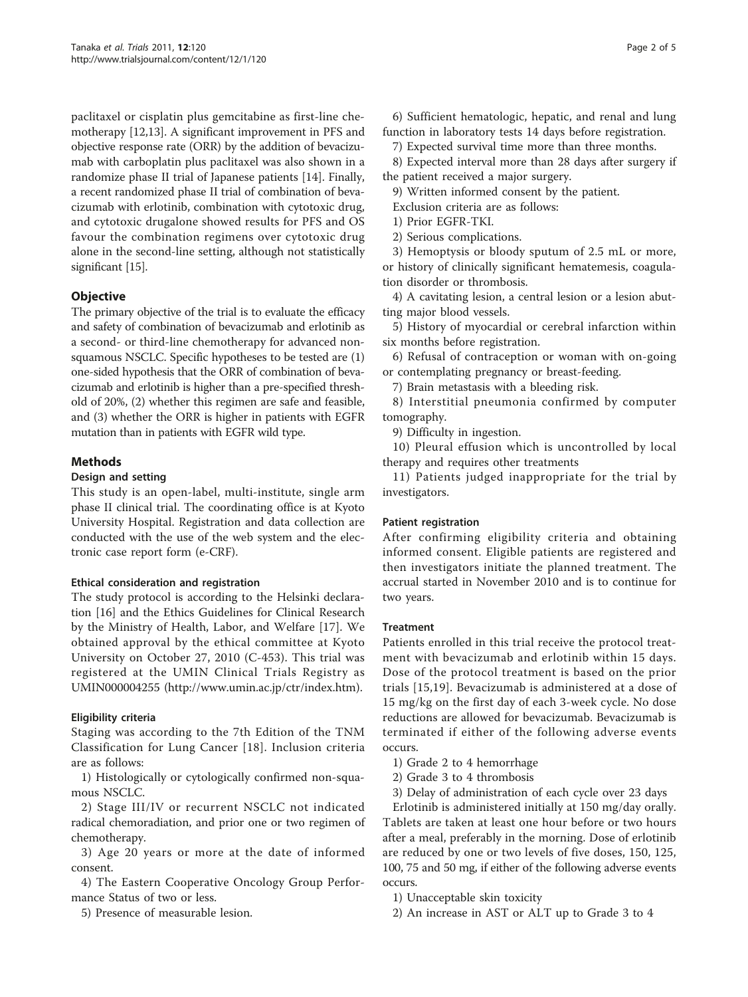paclitaxel or cisplatin plus gemcitabine as first-line chemotherapy [\[12,13\]](#page-3-0). A significant improvement in PFS and objective response rate (ORR) by the addition of bevacizumab with carboplatin plus paclitaxel was also shown in a randomize phase II trial of Japanese patients [[14](#page-3-0)]. Finally, a recent randomized phase II trial of combination of bevacizumab with erlotinib, combination with cytotoxic drug, and cytotoxic drugalone showed results for PFS and OS favour the combination regimens over cytotoxic drug alone in the second-line setting, although not statistically significant [\[15\]](#page-3-0).

# **Objective**

The primary objective of the trial is to evaluate the efficacy and safety of combination of bevacizumab and erlotinib as a second- or third-line chemotherapy for advanced nonsquamous NSCLC. Specific hypotheses to be tested are (1) one-sided hypothesis that the ORR of combination of bevacizumab and erlotinib is higher than a pre-specified threshold of 20%, (2) whether this regimen are safe and feasible, and (3) whether the ORR is higher in patients with EGFR mutation than in patients with EGFR wild type.

# Methods

#### Design and setting

This study is an open-label, multi-institute, single arm phase II clinical trial. The coordinating office is at Kyoto University Hospital. Registration and data collection are conducted with the use of the web system and the electronic case report form (e-CRF).

# Ethical consideration and registration

The study protocol is according to the Helsinki declaration [\[16](#page-3-0)] and the Ethics Guidelines for Clinical Research by the Ministry of Health, Labor, and Welfare [\[17](#page-3-0)]. We obtained approval by the ethical committee at Kyoto University on October 27, 2010 (C-453). This trial was registered at the UMIN Clinical Trials Registry as UMIN000004255 ([http://www.umin.ac.jp/ctr/index.htm\)](http://www.umin.ac.jp/ctr/index.htm).

# Eligibility criteria

Staging was according to the 7th Edition of the TNM Classification for Lung Cancer [[18\]](#page-3-0). Inclusion criteria are as follows:

1) Histologically or cytologically confirmed non-squamous NSCLC.

2) Stage III/IV or recurrent NSCLC not indicated radical chemoradiation, and prior one or two regimen of chemotherapy.

3) Age 20 years or more at the date of informed consent.

4) The Eastern Cooperative Oncology Group Performance Status of two or less.

5) Presence of measurable lesion.

6) Sufficient hematologic, hepatic, and renal and lung function in laboratory tests 14 days before registration.

7) Expected survival time more than three months.

8) Expected interval more than 28 days after surgery if the patient received a major surgery.

9) Written informed consent by the patient.

Exclusion criteria are as follows:

1) Prior EGFR-TKI.

2) Serious complications.

3) Hemoptysis or bloody sputum of 2.5 mL or more, or history of clinically significant hematemesis, coagulation disorder or thrombosis.

4) A cavitating lesion, a central lesion or a lesion abutting major blood vessels.

5) History of myocardial or cerebral infarction within six months before registration.

6) Refusal of contraception or woman with on-going or contemplating pregnancy or breast-feeding.

7) Brain metastasis with a bleeding risk.

8) Interstitial pneumonia confirmed by computer tomography.

9) Difficulty in ingestion.

10) Pleural effusion which is uncontrolled by local therapy and requires other treatments

11) Patients judged inappropriate for the trial by investigators.

#### Patient registration

After confirming eligibility criteria and obtaining informed consent. Eligible patients are registered and then investigators initiate the planned treatment. The accrual started in November 2010 and is to continue for two years.

#### **Treatment**

Patients enrolled in this trial receive the protocol treatment with bevacizumab and erlotinib within 15 days. Dose of the protocol treatment is based on the prior trials [\[15](#page-3-0),[19\]](#page-4-0). Bevacizumab is administered at a dose of 15 mg/kg on the first day of each 3-week cycle. No dose reductions are allowed for bevacizumab. Bevacizumab is terminated if either of the following adverse events occurs.

1) Grade 2 to 4 hemorrhage

2) Grade 3 to 4 thrombosis

3) Delay of administration of each cycle over 23 days

Erlotinib is administered initially at 150 mg/day orally. Tablets are taken at least one hour before or two hours after a meal, preferably in the morning. Dose of erlotinib are reduced by one or two levels of five doses, 150, 125, 100, 75 and 50 mg, if either of the following adverse events occurs.

1) Unacceptable skin toxicity

2) An increase in AST or ALT up to Grade 3 to 4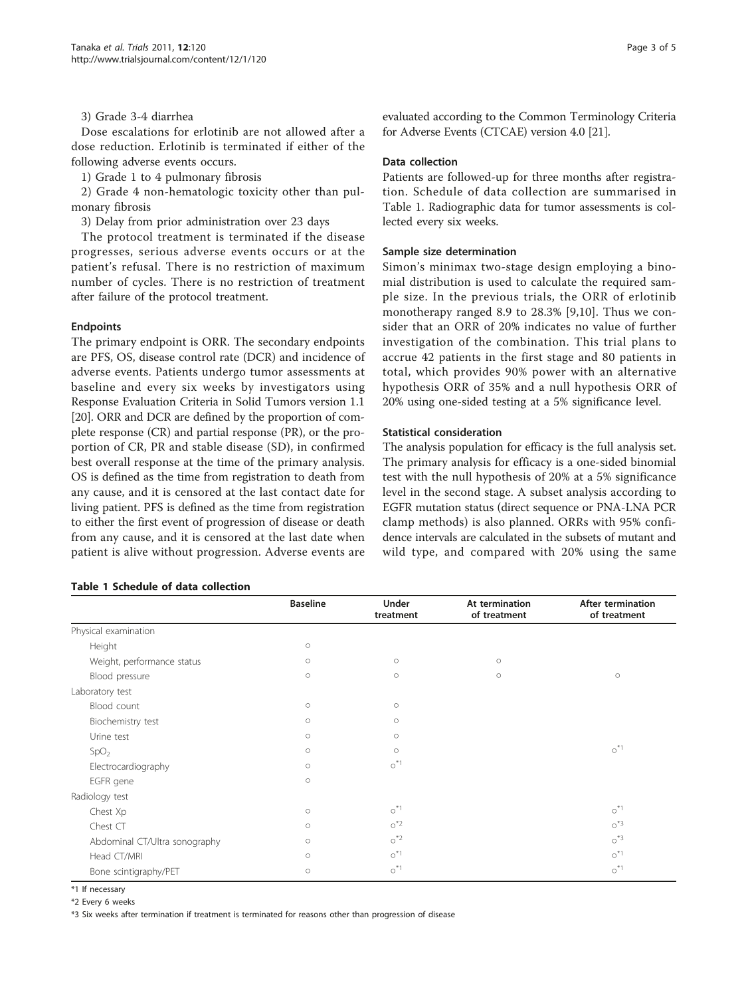#### 3) Grade 3-4 diarrhea

Dose escalations for erlotinib are not allowed after a dose reduction. Erlotinib is terminated if either of the following adverse events occurs.

1) Grade 1 to 4 pulmonary fibrosis

2) Grade 4 non-hematologic toxicity other than pulmonary fibrosis

3) Delay from prior administration over 23 days

The protocol treatment is terminated if the disease progresses, serious adverse events occurs or at the patient's refusal. There is no restriction of maximum number of cycles. There is no restriction of treatment after failure of the protocol treatment.

#### Endpoints

The primary endpoint is ORR. The secondary endpoints are PFS, OS, disease control rate (DCR) and incidence of adverse events. Patients undergo tumor assessments at baseline and every six weeks by investigators using Response Evaluation Criteria in Solid Tumors version 1.1 [[20](#page-4-0)]. ORR and DCR are defined by the proportion of complete response (CR) and partial response (PR), or the proportion of CR, PR and stable disease (SD), in confirmed best overall response at the time of the primary analysis. OS is defined as the time from registration to death from any cause, and it is censored at the last contact date for living patient. PFS is defined as the time from registration to either the first event of progression of disease or death from any cause, and it is censored at the last date when patient is alive without progression. Adverse events are

### Table 1 Schedule of data collection

evaluated according to the Common Terminology Criteria for Adverse Events (CTCAE) version 4.0 [[21](#page-4-0)].

#### Data collection

Patients are followed-up for three months after registration. Schedule of data collection are summarised in Table 1. Radiographic data for tumor assessments is collected every six weeks.

#### Sample size determination

Simon's minimax two-stage design employing a binomial distribution is used to calculate the required sample size. In the previous trials, the ORR of erlotinib monotherapy ranged 8.9 to 28.3% [[9,10](#page-3-0)]. Thus we consider that an ORR of 20% indicates no value of further investigation of the combination. This trial plans to accrue 42 patients in the first stage and 80 patients in total, which provides 90% power with an alternative hypothesis ORR of 35% and a null hypothesis ORR of 20% using one-sided testing at a 5% significance level.

#### Statistical consideration

The analysis population for efficacy is the full analysis set. The primary analysis for efficacy is a one-sided binomial test with the null hypothesis of 20% at a 5% significance level in the second stage. A subset analysis according to EGFR mutation status (direct sequence or PNA-LNA PCR clamp methods) is also planned. ORRs with 95% confidence intervals are calculated in the subsets of mutant and wild type, and compared with 20% using the same

|                               | <b>Baseline</b> | Under<br>treatment    | At termination<br>of treatment | After termination<br>of treatment |
|-------------------------------|-----------------|-----------------------|--------------------------------|-----------------------------------|
| Physical examination          |                 |                       |                                |                                   |
| Height                        | $\circ$         |                       |                                |                                   |
| Weight, performance status    | $\circ$         | $\circ$               | $\circ$                        |                                   |
| Blood pressure                | $\circ$         | $\circ$               | $\circ$                        | $\circ$                           |
| Laboratory test               |                 |                       |                                |                                   |
| Blood count                   | $\circ$         | $\circ$               |                                |                                   |
| Biochemistry test             | $\circ$         | $\circ$               |                                |                                   |
| Urine test                    | $\circ$         | $\circ$               |                                |                                   |
| SpO <sub>2</sub>              | $\circ$         | $\circ$               |                                | $\circ$ <sup>*1</sup>             |
| Electrocardiography           | $\circ$         | $\circ$ <sup>*1</sup> |                                |                                   |
| EGFR gene                     | $\circ$         |                       |                                |                                   |
| Radiology test                |                 |                       |                                |                                   |
| Chest Xp                      | $\circ$         | $\circ$ <sup>*1</sup> |                                | $\circ$ <sup>*1</sup>             |
| Chest CT                      | $\circ$         | $o^*$ <sup>2</sup>    |                                | $\circ$ $*3$                      |
| Abdominal CT/Ultra sonography | $\circ$         | $o^*$ <sup>2</sup>    |                                | $\circ$ $*3$                      |
| Head CT/MRI                   | $\circ$         | $\circ$ <sup>*1</sup> |                                | $\circ$ <sup>*1</sup>             |
| Bone scintigraphy/PET         | $\circ$         | $\circ$ <sup>*1</sup> |                                | $\circ$ <sup>*1</sup>             |

\*1 If necessary

\*2 Every 6 weeks

\*3 Six weeks after termination if treatment is terminated for reasons other than progression of disease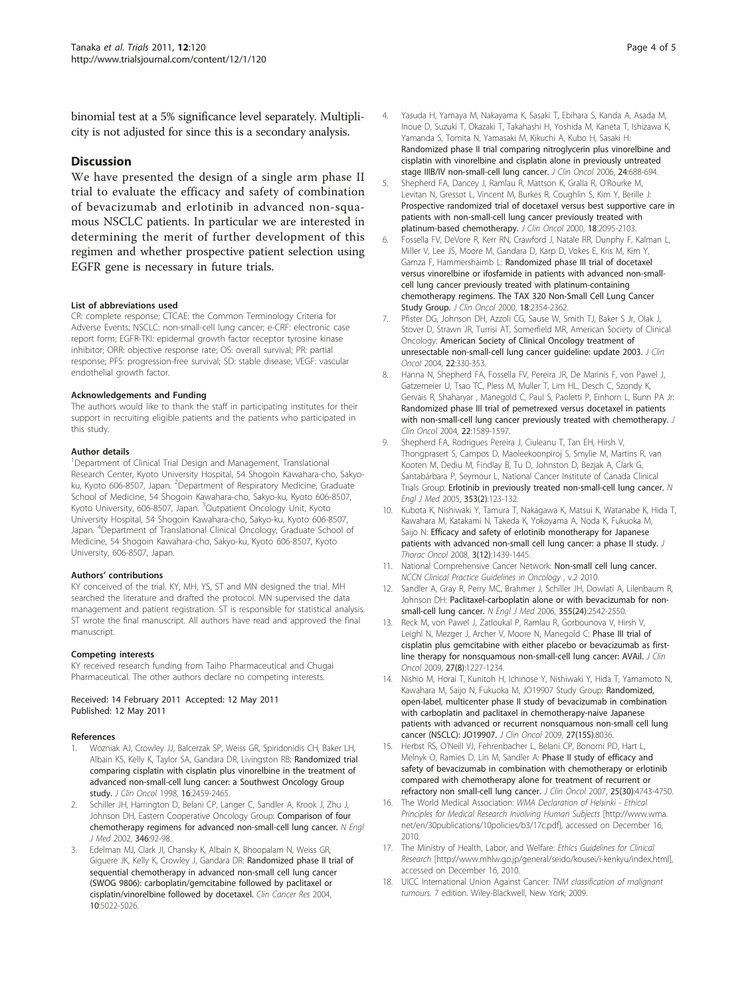<span id="page-3-0"></span>binomial test at a 5% significance level separately. Multiplicity is not adjusted for since this is a secondary analysis.

#### **Discussion**

We have presented the design of a single arm phase II trial to evaluate the efficacy and safety of combination of bevacizumab and erlotinib in advanced non-squamous NSCLC patients. In particular we are interested in determining the merit of further development of this regimen and whether prospective patient selection using EGFR gene is necessary in future trials.

#### List of abbreviations used

CR: complete response; CTCAE: the Common Terminology Criteria for Adverse Events; NSCLC: non-small-cell lung cancer; e-CRF: electronic case report form; EGFR-TKI: epidermal growth factor receptor tyrosine kinase inhibitor; ORR: objective response rate; OS: overall survival; PR: partial response; PFS: progression-free survival; SD: stable disease; VEGF: vascular endothelial growth factor.

#### Acknowledgements and Funding

The authors would like to thank the staff in participating institutes for their support in recruiting eligible patients and the patients who participated in this study.

#### Author details

<sup>1</sup>Department of Clinical Trial Design and Management, Translational Research Center, Kyoto University Hospital, 54 Shogoin Kawahara-cho, Sakyoku, Kyoto 606-8507, Japan. <sup>2</sup>Department of Respiratory Medicine, Graduate School of Medicine, 54 Shogoin Kawahara-cho, Sakyo-ku, Kyoto 606-8507, Kyoto University, 606-8507, Japan. <sup>3</sup>Outpatient Oncology Unit, Kyoto University Hospital, 54 Shogoin Kawahara-cho, Sakyo-ku, Kyoto 606-8507, Japan. <sup>4</sup> Department of Translational Clinical Oncology, Graduate School of Medicine, 54 Shogoin Kawahara-cho, Sakyo-ku, Kyoto 606-8507, Kyoto University, 606-8507, Japan.

#### Authors' contributions

KY conceived of the trial. KY, MH, YS, ST and MN designed the trial. MH searched the literature and drafted the protocol. MN supervised the data management and patient registration. ST is responsible for statistical analysis. ST wrote the final manuscript. All authors have read and approved the final manuscript.

#### Competing interests

KY received research funding from Taiho Pharmaceutical and Chugai Pharmaceutical. The other authors declare no competing interests.

Received: 14 February 2011 Accepted: 12 May 2011 Published: 12 May 2011

#### References

- 1. Wozniak AJ, Crowley JJ, Balcerzak SP, Weiss GR, Spiridonidis CH, Baker LH, Albain KS, Kelly K, Taylor SA, Gandara DR, Livingston RB: [Randomized trial](http://www.ncbi.nlm.nih.gov/pubmed/9667264?dopt=Abstract) [comparing cisplatin with cisplatin plus vinorelbine in the treatment of](http://www.ncbi.nlm.nih.gov/pubmed/9667264?dopt=Abstract) [advanced non-small-cell lung cancer: a Southwest Oncology Group](http://www.ncbi.nlm.nih.gov/pubmed/9667264?dopt=Abstract) [study.](http://www.ncbi.nlm.nih.gov/pubmed/9667264?dopt=Abstract) J Clin Oncol 1998, 16:2459-2465.
- 2. Schiller JH, Harrington D, Belani CP, Langer C, Sandler A, Krook J, Zhu J, Johnson DH, Eastern Cooperative Oncology Group: [Comparison of four](http://www.ncbi.nlm.nih.gov/pubmed/11784875?dopt=Abstract) [chemotherapy regimens for advanced non-small-cell lung cancer.](http://www.ncbi.nlm.nih.gov/pubmed/11784875?dopt=Abstract) N Engl J Med 2002, 346:92-98.
- 3. Edelman MJ, Clark JI, Chansky K, Albain K, Bhoopalam N, Weiss GR, Giguere JK, Kelly K, Crowley J, Gandara DR: [Randomized phase II trial of](http://www.ncbi.nlm.nih.gov/pubmed/15297403?dopt=Abstract) [sequential chemotherapy in advanced non-small cell lung cancer](http://www.ncbi.nlm.nih.gov/pubmed/15297403?dopt=Abstract) [\(SWOG 9806\): carboplatin/gemcitabine followed by paclitaxel or](http://www.ncbi.nlm.nih.gov/pubmed/15297403?dopt=Abstract) [cisplatin/vinorelbine followed by docetaxel.](http://www.ncbi.nlm.nih.gov/pubmed/15297403?dopt=Abstract) Clin Cancer Res 2004, 10:5022-5026.
- 4. Yasuda H, Yamaya M, Nakayama K, Sasaki T, Ebihara S, Kanda A, Asada M, Inoue D, Suzuki T, Okazaki T, Takahashi H, Yoshida M, Kaneta T, Ishizawa K, Yamanda S, Tomita N, Yamasaki M, Kikuchi A, Kubo H, Sasaki H: [Randomized phase II trial comparing nitroglycerin plus vinorelbine and](http://www.ncbi.nlm.nih.gov/pubmed/16446342?dopt=Abstract) [cisplatin with vinorelbine and cisplatin alone in previously untreated](http://www.ncbi.nlm.nih.gov/pubmed/16446342?dopt=Abstract) [stage IIIB/IV non-small-cell lung cancer.](http://www.ncbi.nlm.nih.gov/pubmed/16446342?dopt=Abstract) J Clin Oncol 2006, 24:688-694.
- 5. Shepherd FA, Dancey J, Ramlau R, Mattson K, Gralla R, O'Rourke M, Levitan N, Gressot L, Vincent M, Burkes R, Coughlin S, Kim Y, Berille J: [Prospective randomized trial of docetaxel versus best supportive care in](http://www.ncbi.nlm.nih.gov/pubmed/10811675?dopt=Abstract) [patients with non-small-cell lung cancer previously treated with](http://www.ncbi.nlm.nih.gov/pubmed/10811675?dopt=Abstract) [platinum-based chemotherapy.](http://www.ncbi.nlm.nih.gov/pubmed/10811675?dopt=Abstract) J Clin Oncol 2000, 18:2095-2103.
- 6. Fossella FV, DeVore R, Kerr RN, Crawford J, Natale RR, Dunphy F, Kalman L, Miller V, Lee JS, Moore M, Gandara D, Karp D, Vokes E, Kris M, Kim Y, Gamza F, Hammershaimb L: [Randomized phase III trial of docetaxel](http://www.ncbi.nlm.nih.gov/pubmed/10856094?dopt=Abstract) [versus vinorelbine or ifosfamide in patients with advanced non-small](http://www.ncbi.nlm.nih.gov/pubmed/10856094?dopt=Abstract)[cell lung cancer previously treated with platinum-containing](http://www.ncbi.nlm.nih.gov/pubmed/10856094?dopt=Abstract) [chemotherapy regimens. The TAX 320 Non-Small Cell Lung Cancer](http://www.ncbi.nlm.nih.gov/pubmed/10856094?dopt=Abstract) [Study Group.](http://www.ncbi.nlm.nih.gov/pubmed/10856094?dopt=Abstract) J Clin Oncol 2000, 18:2354-2362.
- 7. Pfister DG, Johnson DH, Azzoli CG, Sause W, Smith TJ, Baker S Jr, Olak J, Stover D, Strawn JR, Turrisi AT, Somerfield MR, American Society of Clinical Oncology: [American Society of Clinical Oncology treatment of](http://www.ncbi.nlm.nih.gov/pubmed/14691125?dopt=Abstract) [unresectable non-small-cell lung cancer guideline: update 2003.](http://www.ncbi.nlm.nih.gov/pubmed/14691125?dopt=Abstract) J Clin Oncol 2004, 22:330-353.
- 8. Hanna N, Shepherd FA, Fossella FV, Pereira JR, De Marinis F, von Pawel J, Gatzemeier U, Tsao TC, Pless M, Muller T, Lim HL, Desch C, Szondy K, Gervais R, Shaharyar , Manegold C, Paul S, Paoletti P, Einhorn L, Bunn PA Jr: [Randomized phase III trial of pemetrexed versus docetaxel in patients](http://www.ncbi.nlm.nih.gov/pubmed/15117980?dopt=Abstract) [with non-small-cell lung cancer previously treated with chemotherapy.](http://www.ncbi.nlm.nih.gov/pubmed/15117980?dopt=Abstract) J Clin Oncol 2004, 22:1589-1597.
- 9. Shepherd FA, Rodrigues Pereira J, Ciuleanu T, Tan EH, Hirsh V, Thongprasert S, Campos D, Maoleekoonpiroj S, Smylie M, Martins R, van Kooten M, Dediu M, Findlay B, Tu D, Johnston D, Bezjak A, Clark G, Santabárbara P, Seymour L, National Cancer Institute of Canada Clinical Trials Group: [Erlotinib in previously treated non-small-cell lung cancer.](http://www.ncbi.nlm.nih.gov/pubmed/16014882?dopt=Abstract) N Engl J Med 2005, 353(2):123-132.
- 10. Kubota K, Nishiwaki Y, Tamura T, Nakagawa K, Matsui K, Watanabe K, Hida T, Kawahara M, Katakami N, Takeda K, Yokoyama A, Noda K, Fukuoka M, Saijo N: [Efficacy and safety of erlotinib monotherapy for Japanese](http://www.ncbi.nlm.nih.gov/pubmed/19057270?dopt=Abstract) [patients with advanced non-small cell lung cancer: a phase II study.](http://www.ncbi.nlm.nih.gov/pubmed/19057270?dopt=Abstract) J Thorac Oncol 2008, 3(12):1439-1445.
- 11. National Comprehensive Cancer Network: Non-small cell lung cancer. NCCN Clinical Practice Guidelines in Oncology , v.2 2010.
- 12. Sandler A, Gray R, Perry MC, Brahmer J, Schiller JH, Dowlati A, Lilenbaum R, Johnson DH: [Paclitaxel-carboplatin alone or with bevacizumab for non](http://www.ncbi.nlm.nih.gov/pubmed/17167137?dopt=Abstract)[small-cell lung cancer.](http://www.ncbi.nlm.nih.gov/pubmed/17167137?dopt=Abstract) N Engl J Med 2006, 355(24):2542-2550.
- 13. Reck M, von Pawel J, Zatloukal P, Ramlau R, Gorbounova V, Hirsh V, Leighl N, Mezger J, Archer V, Moore N, Manegold C: [Phase III trial of](http://www.ncbi.nlm.nih.gov/pubmed/19188680?dopt=Abstract) cisplatin [plus gemcitabine with either placebo or bevacizumab as first](http://www.ncbi.nlm.nih.gov/pubmed/19188680?dopt=Abstract)[line therapy for nonsquamous non-small-cell lung cancer: AVAil.](http://www.ncbi.nlm.nih.gov/pubmed/19188680?dopt=Abstract) J Clin Oncol 2009, 27(8):1227-1234.
- 14. Nishio M, Horai T, Kunitoh H, Ichinose Y, Nishiwaki Y, Hida T, Yamamoto N, Kawahara M, Saijo N, Fukuoka M, JO19907 Study Group: Randomized, open-label, multicenter phase II study of bevacizumab in combination with carboplatin and paclitaxel in chemotherapy-naive Japanese patients with advanced or recurrent nonsquamous non-small cell lung cancer (NSCLC): JO19907. J Clin Oncol 2009, 27(15S):8036.
- 15. Herbst RS, O'Neill VJ, Fehrenbacher L, Belani CP, Bonomi PD, Hart L, Melnyk O, Ramies D, Lin M, Sandler A: [Phase II study of efficacy and](http://www.ncbi.nlm.nih.gov/pubmed/17909199?dopt=Abstract) [safety of bevacizumab in combination with chemotherapy or erlotinib](http://www.ncbi.nlm.nih.gov/pubmed/17909199?dopt=Abstract) [compared with chemotherapy alone for treatment of recurrent or](http://www.ncbi.nlm.nih.gov/pubmed/17909199?dopt=Abstract) [refractory non small-cell lung cancer.](http://www.ncbi.nlm.nih.gov/pubmed/17909199?dopt=Abstract) J Clin Oncol 2007, 25(30):4743-4750.
- 16. The World Medical Association: WMA Declaration of Helsinki Ethical Principles for Medical Research Involving Human Subjects [\[http://www.wma.](http://www.wma.net/en/30publications/10policies/b3/17c.pdf) [net/en/30publications/10policies/b3/17c.pdf](http://www.wma.net/en/30publications/10policies/b3/17c.pdf)], accessed on December 16, 2010.
- 17. The Ministry of Health, Labor, and Welfare: Ethics Guidelines for Clinical Research [<http://www.mhlw.go.jp/general/seido/kousei/i-kenkyu/index.html>], accessed on December 16, 2010.
- 18. UICC International Union Against Cancer: TNM classification of malignant tumours. 7 edition. Wiley-Blackwell, New York; 2009.